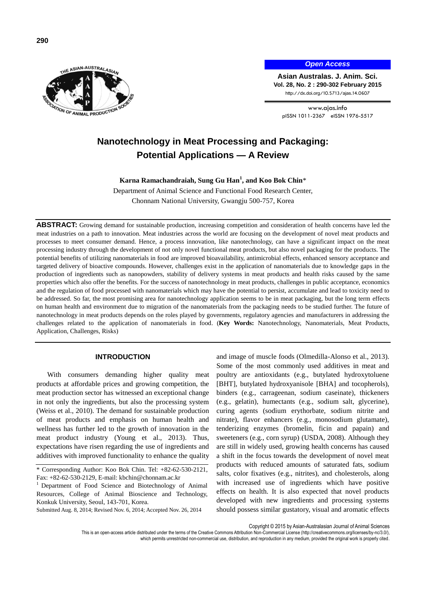

### *Open Access*

**Asian Australas. J. Anim. Sci. Vol. 28, No. 2 : 290-302 February 2015** http://dx.doi.org/10.5713/ajas.14.0607

www.ajas.info pISSN 1011-2367 eISSN 1976-5517

# **Nanotechnology in Meat Processing and Packaging: Potential Applications — A Review**

**Karna Ramachandraiah, Sung Gu Han<sup>1</sup> , and Koo Bok Chin**\*

Department of Animal Science and Functional Food Research Center, Chonnam National University, Gwangju 500-757, Korea

**ABSTRACT:** Growing demand for sustainable production, increasing competition and consideration of health concerns have led the meat industries on a path to innovation. Meat industries across the world are focusing on the development of novel meat products and processes to meet consumer demand. Hence, a process innovation, like nanotechnology, can have a significant impact on the meat processing industry through the development of not only novel functional meat products, but also novel packaging for the products. The potential benefits of utilizing nanomaterials in food are improved bioavailability, antimicrobial effects, enhanced sensory acceptance and targeted delivery of bioactive compounds. However, challenges exist in the application of nanomaterials due to knowledge gaps in the production of ingredients such as nanopowders, stability of delivery systems in meat products and health risks caused by the same properties which also offer the benefits. For the success of nanotechnology in meat products, challenges in public acceptance, economics and the regulation of food processed with nanomaterials which may have the potential to persist, accumulate and lead to toxicity need to be addressed. So far, the most promising area for nanotechnology application seems to be in meat packaging, but the long term effects on human health and environment due to migration of the nanomaterials from the packaging needs to be studied further. The future of nanotechnology in meat products depends on the roles played by governments, regulatory agencies and manufacturers in addressing the challenges related to the application of nanomaterials in food. (**Key Words:** Nanotechnology, Nanomaterials, Meat Products, Application, Challenges, Risks)

# **INTRODUCTION**

With consumers demanding higher quality meat products at affordable prices and growing competition, the meat production sector has witnessed an exceptional change in not only the ingredients, but also the processing system (Weiss et al., 2010). The demand for sustainable production of meat products and emphasis on human health and wellness has further led to the growth of innovation in the meat product industry (Young et al., 2013). Thus, expectations have risen regarding the use of ingredients and additives with improved functionality to enhance the quality

Submitted Aug. 8, 2014; Revised Nov. 6, 2014; Accepted Nov. 26, 2014

and image of muscle foods (Olmedilla-Alonso et al., 2013). Some of the most commonly used additives in meat and poultry are antioxidants (e.g., butylated hydroxytoluene [BHT], butylated hydroxyanisole [BHA] and tocopherols), binders (e.g., carrageenan, sodium caseinate), thickeners (e.g., gelatin), humectants (e.g., sodium salt, glycerine), curing agents (sodium erythorbate, sodium nitrite and nitrate), flavor enhancers (e.g., monosodium glutamate), tenderizing enzymes (bromelin, ficin and papain) and sweeteners (e.g., corn syrup) (USDA, 2008). Although they are still in widely used, growing health concerns has caused a shift in the focus towards the development of novel meat products with reduced amounts of saturated fats, sodium salts, color fixatives (e.g., nitrites), and cholesterols, along with increased use of ingredients which have positive effects on health. It is also expected that novel products developed with new ingredients and processing systems should possess similar gustatory, visual and aromatic effects

Copyright © 2015 by Asian-Australasian Journal of Animal Sciences

This is an open-access article distributed under the terms of the Creative Commons Attribution Non-Commercial License [\(http://creativecommons.org/licenses/by-nc/3.0/\),](http://creativecommons.org/licenses/by-nc/3.0/) which permits unrestricted non-commercial use, distribution, and reproduction in any medium, provided the original work is properly cited

<sup>\*</sup> Corresponding Author: Koo Bok Chin. Tel: +82-62-530-2121, Fax: +82-62-530-2129, E-mail[: kbchin@chonnam.ac.kr](mailto:kbchin@chonnam.ac.kr)

<sup>&</sup>lt;sup>1</sup> Department of Food Science and Biotechnology of Animal Resources, College of Animal Bioscience and Technology, Konkuk University, Seoul, 143-701, Korea.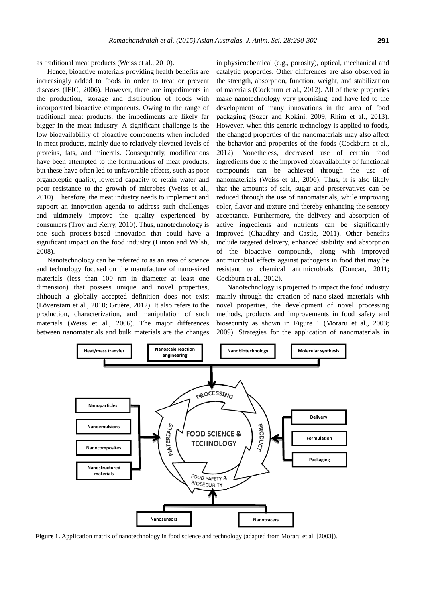as traditional meat products (Weiss et al., 2010).

Hence, bioactive materials providing health benefits are increasingly added to foods in order to treat or prevent diseases (IFIC, 2006). However, there are impediments in the production, storage and distribution of foods with incorporated bioactive components. Owing to the range of traditional meat products, the impediments are likely far bigger in the meat industry. A significant challenge is the low bioavailability of bioactive components when included in meat products, mainly due to relatively elevated levels of proteins, fats, and minerals. Consequently, modifications have been attempted to the formulations of meat products, but these have often led to unfavorable effects, such as poor organoleptic quality, lowered capacity to retain water and poor resistance to the growth of microbes (Weiss et al., 2010). Therefore, the meat industry needs to implement and support an innovation agenda to address such challenges and ultimately improve the quality experienced by consumers (Troy and Kerry, 2010). Thus, nanotechnology is one such process-based innovation that could have a significant impact on the food industry (Linton and Walsh, 2008).

Nanotechnology can be referred to as an area of science and technology focused on the manufacture of nano-sized materials (less than 100 nm in diameter at least one dimension) that possess unique and novel properties, although a globally accepted definition does not exist (Lövenstam et al., 2010; Gruère, 2012). It also refers to the production, characterization, and manipulation of such materials (Weiss et al., 2006). The major differences between nanomaterials and bulk materials are the changes

in physicochemical (e.g., porosity), optical, mechanical and catalytic properties. Other differences are also observed in the strength, absorption, function, weight, and stabilization of materials (Cockburn et al., 2012). All of these properties make nanotechnology very promising, and have led to the development of many innovations in the area of food packaging (Sozer and Kokini, 2009; Rhim et al., 2013). However, when this generic technology is applied to foods, the changed properties of the nanomaterials may also affect the behavior and properties of the foods (Cockburn et al., 2012). Nonetheless, decreased use of certain food ingredients due to the improved bioavailability of functional compounds can be achieved through the use of nanomaterials (Weiss et al., 2006). Thus, it is also likely that the amounts of salt, sugar and preservatives can be reduced through the use of nanomaterials, while improving color, flavor and texture and thereby enhancing the sensory acceptance. Furthermore, the delivery and absorption of active ingredients and nutrients can be significantly improved (Chaudhry and Castle, 2011). Other benefits include targeted delivery, enhanced stability and absorption of the bioactive compounds, along with improved antimicrobial effects against pathogens in food that may be resistant to chemical antimicrobials (Duncan, 2011; Cockburn et al., 2012).

Nanotechnology is projected to impact the food industry mainly through the creation of nano-sized materials with novel properties, the development of novel processing methods, products and improvements in food safety and biosecurity as shown in Figure 1 (Moraru et al., 2003; 2009). Strategies for the application of nanomaterials in



**Figure 1.** Application matrix of nanotechnology in food science and technology (adapted from Moraru et al. [2003]).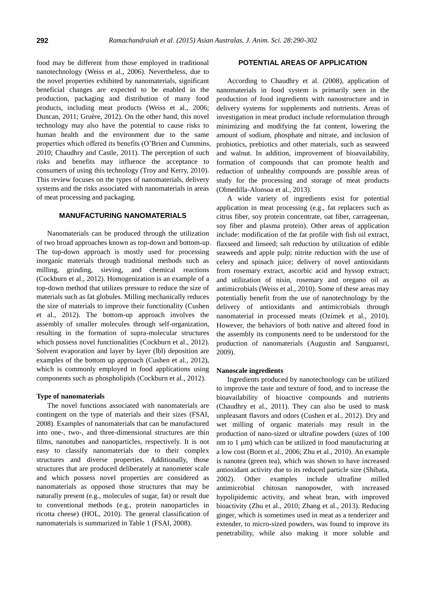food may be different from those employed in traditional nanotechnology (Weiss et al., 2006). Nevertheless, due to the novel properties exhibited by nanomaterials, significant beneficial changes are expected to be enabled in the production, packaging and distribution of many food products, including meat products (Weiss et al., 2006; Duncan, 2011; Gruère, 2012). On the other hand, this novel technology may also have the potential to cause risks to human health and the environment due to the same properties which offered its benefits (O'Brien and Cummins, 2010; Chaudhry and Castle, 2011). The perception of such risks and benefits may influence the acceptance to consumers of using this technology (Troy and Kerry, 2010). This review focuses on the types of nanomaterials, delivery systems and the risks associated with nanomaterials in areas of meat processing and packaging.

# **MANUFACTURING NANOMATERIALS**

Nanomaterials can be produced through the utilization of two broad approaches known as top-down and bottom-up. The top-down approach is mostly used for processing inorganic materials through traditional methods such as milling, grinding, sieving, and chemical reactions (Cockburn et al., 2012). Homogenization is an example of a top-down method that utilizes pressure to reduce the size of materials such as fat globules. Milling mechanically reduces the size of materials to improve their functionality (Cushen et al., 2012). The bottom-up approach involves the assembly of smaller molecules through self-organization, resulting in the formation of supra-molecular structures which possess novel functionalities (Cockburn et al., 2012). Solvent evaporation and layer by layer (lbl) deposition are examples of the bottom up approach (Cushen et al., 2012), which is commonly employed in food applications using components such as phospholipids (Cockburn et al., 2012).

#### **Type of nanomaterials**

The novel functions associated with nanomaterials are contingent on the type of materials and their sizes (FSAI, 2008). Examples of nanomaterials that can be manufactured into one-, two-, and three-dimensional structures are thin films, nanotubes and nanoparticles, respectively. It is not easy to classify nanomaterials due to their complex structures and diverse properties. Additionally, those structures that are produced deliberately at nanometer scale and which possess novel properties are considered as nanomaterials as opposed those structures that may be naturally present (e.g., molecules of sugar, fat) or result due to conventional methods (e.g., protein nanoparticles in ricotta cheese) (HOL, 2010). The general classification of nanomaterials is summarized in Table 1 (FSAI, 2008).

### **POTENTIAL AREAS OF APPLICATION**

According to Chaudhry et al. (2008), application of nanomaterials in food system is primarily seen in the production of food ingredients with nanostructure and in delivery systems for supplements and nutrients. Areas of investigation in meat product include reformulation through minimizing and modifying the fat content, lowering the amount of sodium, phosphate and nitrate, and inclusion of probiotics, prebiotics and other materials, such as seaweed and walnut. In addition, improvement of bioavailability, formation of compounds that can promote health and reduction of unhealthy compounds are possible areas of study for the processing and storage of meat products (Olmedilla-Alonsoa et al., 2013).

A wide variety of ingredients exist for potential application in meat processing (e.g., fat replacers such as citrus fiber, soy protein concentrate, oat fiber, carrageenan, soy fiber and plasma protein). Other areas of application include: modification of the fat profile with fish oil extract, flaxseed and linseed; salt reduction by utilization of edible seaweeds and apple pulp; nitrite reduction with the use of celery and spinach juice; delivery of novel antioxidants from rosemary extract, ascorbic acid and hyssop extract; and utilization of nisin, rosemary and oregano oil as antimicrobials (Weiss et al., 2010). Some of these areas may potentially benefit from the use of nanotechnology by the delivery of antioxidants and antimicrobials through nanomaterial in processed meats (Ozimek et al., 2010). However, the behaviors of both native and altered food in the assembly its components need to be understood for the production of nanomaterials (Augustin and Sanguansri, 2009).

### **Nanoscale ingredients**

Ingredients produced by nanotechnology can be utilized to improve the taste and texture of food, and to increase the bioavailability of bioactive compounds and nutrients (Chaudhry et al., 2011). They can also be used to mask unpleasant flavors and odors (Cushen et al., 2012). Dry and wet milling of organic materials may result in the production of nano-sized or ultrafine powders (sizes of 100 nm to 1 μm) which can be utilized in food manufacturing at a low cost (Borm et al., 2006; Zhu et al., 2010). An example is nanotea (green tea), which was shown to have increased antioxidant activity due to its reduced particle size (Shibata, 2002). Other examples include ultrafine milled antimicrobial chitosan nanopowder, with increased hypolipidemic activity, and wheat bran, with improved bioactivity (Zhu et al., 2010; Zhang et al., 2013). Reducing ginger, which is sometimes used in meat as a tenderizer and extender, to micro-sized powders, was found to improve its penetrability, while also making it more soluble and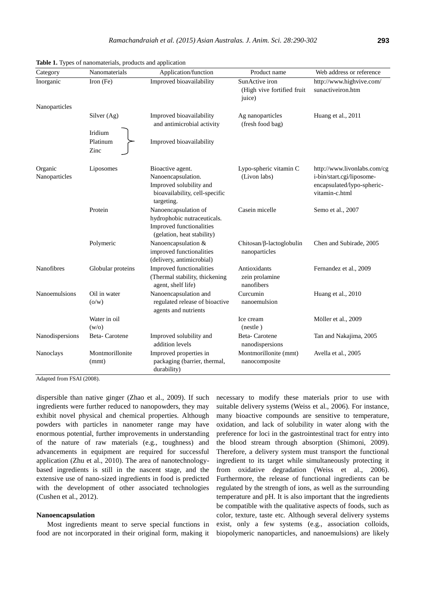| Category                 | Nanomaterials               | Application/function                                                                                              | Product name                                           | Web address or reference                                                                                 |
|--------------------------|-----------------------------|-------------------------------------------------------------------------------------------------------------------|--------------------------------------------------------|----------------------------------------------------------------------------------------------------------|
| Inorganic                | Iron $(Fe)$                 | Improved bioavailability                                                                                          | SunActive iron<br>(High vive fortified fruit<br>juice) | http://www.highvive.com/<br>sunactiveiron.htm                                                            |
| Nanoparticles            |                             |                                                                                                                   |                                                        |                                                                                                          |
|                          | Silver (Ag)                 | Improved bioavailability<br>and antimicrobial activity                                                            | Ag nanoparticles<br>(fresh food bag)                   | Huang et al., 2011                                                                                       |
|                          | Iridium<br>Platinum<br>Zinc | Improved bioavailability                                                                                          |                                                        |                                                                                                          |
| Organic<br>Nanoparticles | Liposomes                   | Bioactive agent.<br>Nanoencapsulation.<br>Improved solubility and<br>bioavailability, cell-specific<br>targeting. | Lypo-spheric vitamin C<br>(Livon labs)                 | http://www.livonlabs.com/cg<br>i-bin/start.cgi/liposome-<br>encapsulated/lypo-spheric-<br>vitamin-c.html |
|                          | Protein                     | Nanoencapsulation of<br>hydrophobic nutraceuticals.<br>Improved functionalities<br>(gelation, heat stability)     | Casein micelle                                         | Semo et al., 2007                                                                                        |
|                          | Polymeric                   | Nanoencapsulation &<br>improved functionalities<br>(delivery, antimicrobial)                                      | $Chitosan/\beta$ -lactoglobulin<br>nanoparticles       | Chen and Subirade, 2005                                                                                  |
| Nanofibres               | Globular proteins           | Improved functionalities<br>(Thermal stability, thickening<br>agent, shelf life)                                  | Antioxidants<br>zein prolamine<br>nanofibers           | Fernandez et al., 2009                                                                                   |
| Nanoemulsions            | Oil in water<br>(o/w)       | Nanoencapsulation and<br>regulated release of bioactive<br>agents and nutrients                                   | Curcumin<br>nanoemulsion                               | Huang et al., 2010                                                                                       |
|                          | Water in oil<br>(w/o)       |                                                                                                                   | Ice cream<br>(nestle)                                  | Möller et al., 2009                                                                                      |
| Nanodispersions          | Beta-Carotene               | Improved solubility and<br>addition levels                                                                        | Beta-Carotene<br>nanodispersions                       | Tan and Nakajima, 2005                                                                                   |
| Nanoclays                | Montmorillonite<br>(mmt)    | Improved properties in<br>packaging (barrier, thermal,<br>durability)                                             | Montmorillonite (mmt)<br>nanocomposite                 | Avella et al., 2005                                                                                      |

|  |  |  |  |  |  | Table 1. Types of nanomaterials, products and application |
|--|--|--|--|--|--|-----------------------------------------------------------|
|--|--|--|--|--|--|-----------------------------------------------------------|

Adapted from FSAI (2008).

dispersible than native ginger (Zhao et al., 2009). If such ingredients were further reduced to nanopowders, they may exhibit novel physical and chemical properties. Although powders with particles in nanometer range may have enormous potential, further improvements in understanding of the nature of raw materials (e.g., toughness) and advancements in equipment are required for successful application (Zhu et al., 2010). The area of nanotechnologybased ingredients is still in the nascent stage, and the extensive use of nano-sized ingredients in food is predicted with the development of other associated technologies (Cushen et al., 2012).

#### **Nanoencapsulation**

Most ingredients meant to serve special functions in food are not incorporated in their original form, making it

necessary to modify these materials prior to use with suitable delivery systems (Weiss et al., 2006). For instance, many bioactive compounds are sensitive to temperature, oxidation, and lack of solubility in water along with the preference for loci in the gastrointestinal tract for entry into the blood stream through absorption (Shimoni, 2009). Therefore, a delivery system must transport the functional ingredient to its target while simultaneously protecting it from oxidative degradation (Weiss et al., 2006). Furthermore, the release of functional ingredients can be regulated by the strength of ions, as well as the surrounding temperature and pH. It is also important that the ingredients be compatible with the qualitative aspects of foods, such as color, texture, taste etc. Although several delivery systems exist, only a few systems (e.g., association colloids, biopolymeric nanoparticles, and nanoemulsions) are likely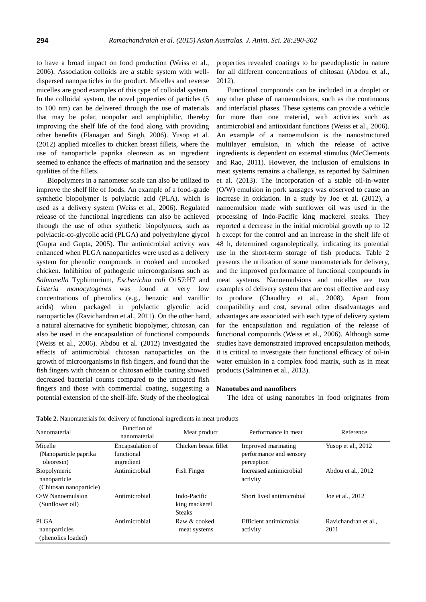to have a broad impact on food production (Weiss et al., 2006). Association colloids are a stable system with welldispersed nanoparticles in the product. Micelles and reverse micelles are good examples of this type of colloidal system. In the colloidal system, the novel properties of particles (5 to 100 nm) can be delivered through the use of materials that may be polar, nonpolar and amphiphilic, thereby improving the shelf life of the food along with providing other benefits (Flanagan and Singh, 2006). Yusop et al. (2012) applied micelles to chicken breast fillets, where the use of nanoparticle paprika oleoresin as an ingredient seemed to enhance the effects of marination and the sensory qualities of the fillets.

Biopolymers in a nanometer scale can also be utilized to improve the shelf life of foods. An example of a food-grade synthetic biopolymer is polylactic acid (PLA), which is used as a delivery system (Weiss et al., 2006). Regulated release of the functional ingredients can also be achieved through the use of other synthetic biopolymers, such as polylactic-co-glycolic acid (PLGA) and polyethylene glycol (Gupta and Gupta, 2005). The antimicrobial activity was enhanced when PLGA nanoparticles were used as a delivery system for phenolic compounds in cooked and uncooked chicken. Inhibition of pathogenic microorganisms such as *Salmonella* Typhimurium, *Escherichia coli* O157:H7 and *Listeria monocytogenes* was found at very low concentrations of phenolics (e.g., benzoic and vanillic acids) when packaged in polylactic glycolic acid nanoparticles (Ravichandran et al., 2011). On the other hand, a natural alternative for synthetic biopolymer, chitosan, can also be used in the encapsulation of functional compounds (Weiss et al., 2006). Abdou et al. (2012) investigated the effects of antimicrobial chitosan nanoparticles on the growth of microorganisms in fish fingers, and found that the fish fingers with chitosan or chitosan edible coating showed decreased bacterial counts compared to the uncoated fish fingers and those with commercial coating, suggesting a potential extension of the shelf-life. Study of the rheological

properties revealed coatings to be pseudoplastic in nature for all different concentrations of chitosan (Abdou et al., 2012).

Functional compounds can be included in a droplet or any other phase of nanoemulsions, such as the continuous and interfacial phases. These systems can provide a vehicle for more than one material, with activities such as antimicrobial and antioxidant functions (Weiss et al., 2006). An example of a nanoemulsion is the nanostructured multilayer emulsion, in which the release of active ingredients is dependent on external stimulus (McClements and Rao, 2011). However, the inclusion of emulsions in meat systems remains a challenge, as reported by Salminen et al. (2013). The incorporation of a stable oil-in-water (O/W) emulsion in pork sausages was observed to cause an increase in oxidation. In a study by Joe et al. (2012), a nanoemulsion made with sunflower oil was used in the processing of Indo-Pacific king mackerel steaks. They reported a decrease in the initial microbial growth up to 12 h except for the control and an increase in the shelf life of 48 h, determined organoleptically, indicating its potential use in the short-term storage of fish products. Table 2 presents the utilization of some nanomaterials for delivery, and the improved performance of functional compounds in meat systems. Nanoemulsions and micelles are two examples of delivery system that are cost effective and easy to produce (Chaudhry et al., 2008). Apart from compatibility and cost, several other disadvantages and advantages are associated with each type of delivery system for the encapsulation and regulation of the release of functional compounds (Weiss et al., 2006). Although some studies have demonstrated improved encapsulation methods, it is critical to investigate their functional efficacy of oil-in water emulsion in a complex food matrix, such as in meat products (Salminen et al., 2013).

#### **Nanotubes and nanofibers**

The idea of using nanotubes in food originates from

| Nanomaterial                                            | Function of<br>nanomaterial                  | Meat product                                   | Performance in meat                                          | Reference                    |
|---------------------------------------------------------|----------------------------------------------|------------------------------------------------|--------------------------------------------------------------|------------------------------|
| Micelle<br>(Nanoparticle paprika)<br>oleoresin)         | Encapsulation of<br>functional<br>ingredient | Chicken breast fillet                          | Improved marinating<br>performance and sensory<br>perception | Yusop et al., 2012           |
| Biopolymeric<br>nanoparticle<br>(Chitosan nanoparticle) | Antimicrobial                                | Fish Finger                                    | Increased antimicrobial<br>activity                          | Abdou et al., 2012           |
| O/W Nanoemulsion<br>(Sunflower oil)                     | Antimicrobial                                | Indo-Pacific<br>king mackerel<br><b>Steaks</b> | Short lived antimicrobial                                    | Joe et al., 2012             |
| <b>PLGA</b><br>nanoparticles<br>(phenolics loaded)      | Antimicrobial                                | Raw & cooked<br>meat systems                   | Efficient antimicrobial<br>activity                          | Ravichandran et al.,<br>2011 |

**Table 2.** Nanomaterials for delivery of functional ingredients in meat products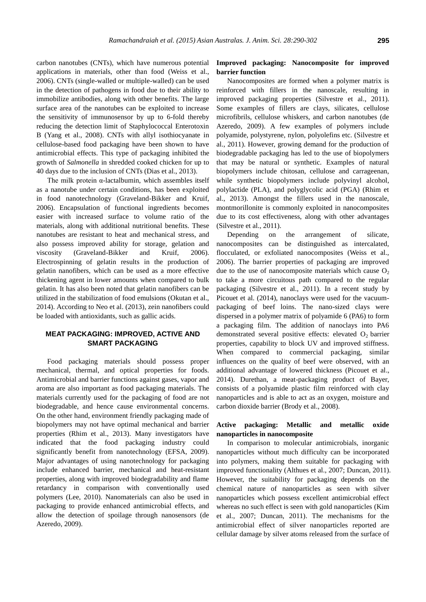carbon nanotubes (CNTs), which have numerous potential applications in materials, other than food (Weiss et al., 2006). CNTs (single-walled or multiple-walled) can be used in the detection of pathogens in food due to their ability to immobilize antibodies, along with other benefits. The large surface area of the nanotubes can be exploited to increase the sensitivity of immunosensor by up to 6-fold thereby reducing the detection limit of Staphylococcal Enterotoxin B (Yang et al., 2008). CNTs with allyl isothiocyanate in cellulose-based food packaging have been shown to have antimicrobial effects. This type of packaging inhibited the growth of *Salmonella* in shredded cooked chicken for up to 40 days due to the inclusion of CNTs (Dias et al., 2013).

The milk protein  $\alpha$ -lactalbumin, which assembles itself as a nanotube under certain conditions, has been exploited in food nanotechnology (Graveland-Bikker and Kruif, 2006). Encapsulation of functional ingredients becomes easier with increased surface to volume ratio of the materials, along with additional nutritional benefits. These nanotubes are resistant to heat and mechanical stress, and also possess improved ability for storage, gelation and viscosity (Graveland-Bikker and Kruif, 2006). Electrospinning of gelatin results in the production of gelatin nanofibers, which can be used as a more effective thickening agent in lower amounts when compared to bulk gelatin. It has also been noted that gelatin nanofibers can be utilized in the stabilization of food emulsions (Okutan et al., 2014). According to Neo et al. (2013), zein nanofibers could be loaded with antioxidants, such as gallic acids.

# **MEAT PACKAGING: IMPROVED, ACTIVE AND SMART PACKAGING**

Food packaging materials should possess proper mechanical, thermal, and optical properties for foods. Antimicrobial and barrier functions against gases, vapor and aroma are also important as food packaging materials. The materials currently used for the packaging of food are not biodegradable, and hence cause environmental concerns. On the other hand, environment friendly packaging made of biopolymers may not have optimal mechanical and barrier properties (Rhim et al., 2013). Many investigators have indicated that the food packaging industry could significantly benefit from nanotechnology (EFSA, 2009). Major advantages of using nanotechnology for packaging include enhanced barrier, mechanical and heat-resistant properties, along with improved biodegradability and flame retardancy in comparison with conventionally used polymers (Lee, 2010). Nanomaterials can also be used in packaging to provide enhanced antimicrobial effects, and allow the detection of spoilage through nanosensors (de Azeredo, 2009).

## **Improved packaging: Nanocomposite for improved barrier function**

Nanocomposites are formed when a polymer matrix is reinforced with fillers in the nanoscale, resulting in improved packaging properties (Silvestre et al., 2011). Some examples of fillers are clays, silicates, cellulose microfibrils, cellulose whiskers, and carbon nanotubes (de Azeredo, 2009). A few examples of polymers include polyamide, polystyrene, nylon, polyolefins etc. (Silvestre et al., 2011). However, growing demand for the production of biodegradable packaging has led to the use of biopolymers that may be natural or synthetic. Examples of natural biopolymers include chitosan, cellulose and carrageenan, while synthetic biopolymers include polyvinyl alcohol, polylactide (PLA), and polyglycolic acid (PGA) (Rhim et al., 2013). Amongst the fillers used in the nanoscale, montmorillonite is commonly exploited in nanocomposites due to its cost effectiveness, along with other advantages (Silvestre et al., 2011).

Depending on the arrangement of silicate, nanocomposites can be distinguished as intercalated, flocculated, or exfoliated nanocomposites (Weiss et al., 2006). The barrier properties of packaging are improved due to the use of nanocomposite materials which cause  $O<sub>2</sub>$ to take a more circuitous path compared to the regular packaging (Silvestre et al., 2011). In a recent study by Picouet et al. (2014), nanoclays were used for the vacuumpackaging of beef loins. The nano-sized clays were dispersed in a polymer matrix of polyamide 6 (PA6) to form a packaging film. The addition of nanoclays into PA6 demonstrated several positive effects: elevated  $O<sub>2</sub>$  barrier properties, capability to block UV and improved stiffness. When compared to commercial packaging, similar influences on the quality of beef were observed, with an additional advantage of lowered thickness (Picouet et al., 2014). Durethan, a meat-packaging product of Bayer, consists of a polyamide plastic film reinforced with clay nanoparticles and is able to act as an oxygen, moisture and carbon dioxide barrier (Brody et al., 2008).

### **Active packaging: Metallic and metallic oxide nanoparticles in nanocomposite**

In comparison to molecular antimicrobials, inorganic nanoparticles without much difficulty can be incorporated into polymers, making them suitable for packaging with improved functionality (Althues et al., 2007; Duncan, 2011). However, the suitability for packaging depends on the chemical nature of nanoparticles as seen with silver nanoparticles which possess excellent antimicrobial effect whereas no such effect is seen with gold nanoparticles (Kim et al., 2007; Duncan, 2011). The mechanisms for the antimicrobial effect of silver nanoparticles reported are cellular damage by silver atoms released from the surface of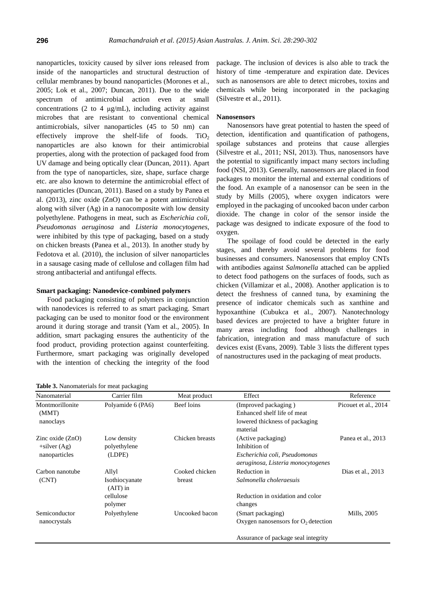nanoparticles, toxicity caused by silver ions released from inside of the nanoparticles and structural destruction of cellular membranes by bound nanoparticles (Morones et al., 2005; Lok et al., 2007; Duncan, 2011). Due to the wide spectrum of antimicrobial action even at small concentrations (2 to 4 μg/mL), including activity against microbes that are resistant to conventional chemical antimicrobials, silver nanoparticles (45 to 50 nm) can effectively improve the shelf-life of foods.  $TiO<sub>2</sub>$ nanoparticles are also known for their antimicrobial properties, along with the protection of packaged food from UV damage and being optically clear (Duncan, 2011). Apart from the type of nanoparticles, size, shape, surface charge etc. are also known to determine the antimicrobial effect of nanoparticles (Duncan, 2011). Based on a study by Panea et al. (2013), zinc oxide (ZnO) can be a potent antimicrobial along with silver (Ag) in a nanocomposite with low density polyethylene. Pathogens in meat, such as *Escherichia coli*, *Pseudomonas aeruginosa* and *Listeria monocytogenes*, were inhibited by this type of packaging, based on a study on chicken breasts (Panea et al., 2013). In another study by Fedotova et al. (2010), the inclusion of silver nanoparticles in a sausage casing made of cellulose and collagen film had strong antibacterial and antifungal effects.

#### **Smart packaging: Nanodevice-combined polymers**

Food packaging consisting of polymers in conjunction with nanodevices is referred to as smart packaging. Smart packaging can be used to monitor food or the environment around it during storage and transit (Yam et al., 2005). In addition, smart packaging ensures the authenticity of the food product, providing protection against counterfeiting. Furthermore, smart packaging was originally developed with the intention of checking the integrity of the food package. The inclusion of devices is also able to track the history of time -temperature and expiration date. Devices such as nanosensors are able to detect microbes, toxins and chemicals while being incorporated in the packaging (Silvestre et al., 2011).

### **Nanosensors**

Nanosensors have great potential to hasten the speed of detection, identification and quantification of pathogens, spoilage substances and proteins that cause allergies (Silvestre et al., 2011; NSI, 2013). Thus, nanosensors have the potential to significantly impact many sectors including food (NSI, 2013). Generally, nanosensors are placed in food packages to monitor the internal and external conditions of the food. An example of a nanosensor can be seen in the study by Mills (2005), where oxygen indicators were employed in the packaging of uncooked bacon under carbon dioxide. The change in color of the sensor inside the package was designed to indicate exposure of the food to oxygen.

The spoilage of food could be detected in the early stages, and thereby avoid several problems for food businesses and consumers. Nanosensors that employ CNTs with antibodies against *Salmonella* attached can be applied to detect food pathogens on the surfaces of foods, such as chicken (Villamizar et al., 2008). Another application is to detect the freshness of canned tuna, by examining the presence of indicator chemicals such as xanthine and hypoxanthine (Cubukca et al., 2007). Nanotechnology based devices are projected to have a brighter future in many areas including food although challenges in fabrication, integration and mass manufacture of such devices exist (Evans, 2009). Table 3 lists the different types of nanostructures used in the packaging of meat products.

| Nanomaterial                                           | Carrier film                          | Meat product             | Effect                                                                                                     | Reference            |
|--------------------------------------------------------|---------------------------------------|--------------------------|------------------------------------------------------------------------------------------------------------|----------------------|
| Montmorillonite<br>(MMT)<br>nanoclays                  | Polyamide 6 (PA6)                     | Beef loins               | (Improved packaging)<br>Enhanced shelf life of meat<br>lowered thickness of packaging<br>material          | Picouet et al., 2014 |
| Zinc oxide $(ZnO)$<br>$+$ silver (Ag)<br>nanoparticles | Low density<br>polyethylene<br>(LDPE) | Chicken breasts          | (Active packaging)<br>Inhibition of<br>Escherichia coli, Pseudomonas<br>aeruginosa, Listeria monocytogenes | Panea et al., 2013   |
| Carbon nanotube<br>(CNT)                               | Allyl<br>Isothiocyanate<br>$(AIT)$ in | Cooked chicken<br>breast | Reduction in<br>Salmonella choleraesuis                                                                    | Dias et al., $2013$  |
|                                                        | cellulose<br>polymer                  |                          | Reduction in oxidation and color<br>changes                                                                |                      |
| Semiconductor<br>nanocrystals                          | Polyethylene                          | Uncooked bacon           | (Smart packaging)<br>Oxygen nanosensors for $O_2$ detection                                                | Mills, 2005          |
|                                                        |                                       |                          | Assurance of package seal integrity                                                                        |                      |

**Table 3.** Nanomaterials for meat packaging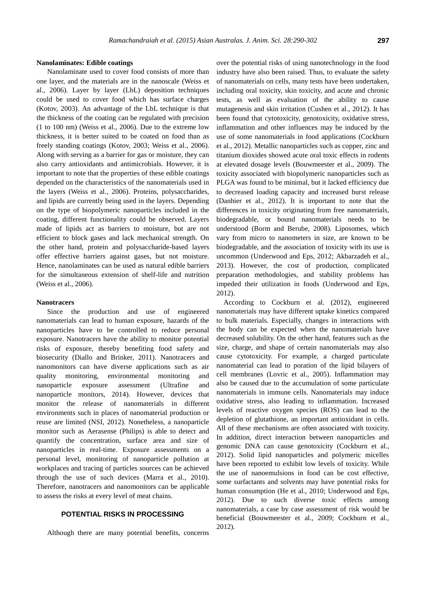### **Nanolaminates: Edible coatings**

Nanolaminate used to cover food consists of more than one layer, and the materials are in the nanoscale (Weiss et al., 2006). Layer by layer (LbL) deposition techniques could be used to cover food which has surface charges (Kotov, 2003). An advantage of the LbL technique is that the thickness of the coating can be regulated with precision (1 to 100 nm) (Weiss et al., 2006). Due to the extreme low thickness, it is better suited to be coated on food than as freely standing coatings (Kotov, 2003; Weiss et al., 2006). Along with serving as a barrier for gas or moisture, they can also carry antioxidants and antimicrobials. However, it is important to note that the properties of these edible coatings depended on the characteristics of the nanomaterials used in the layers (Weiss et al., 2006). Proteins, polysaccharides, and lipids are currently being used in the layers. Depending on the type of biopolymeric nanoparticles included in the coating, different functionality could be observed. Layers made of lipids act as barriers to moisture, but are not efficient to block gases and lack mechanical strength. On the other hand, protein and polysaccharide-based layers offer effective barriers against gases, but not moisture. Hence, nanolaminates can be used as natural edible barriers for the simultaneous extension of shelf-life and nutrition (Weiss et al., 2006).

#### **Nanotracers**

Since the production and use of engineered nanomaterials can lead to human exposure, hazards of the nanoparticles have to be controlled to reduce personal exposure. Nanotracers have the ability to monitor potential risks of exposure, thereby benefiting food safety and biosecurity (Diallo and Brinker, 2011). Nanotracers and nanomonitors can have diverse applications such as air quality monitoring, environmental monitoring and nanoparticle exposure assessment (Ultrafine and nanoparticle monitors, 2014). However, devices that monitor the release of nanomaterials in different environments such in places of nanomaterial production or reuse are limited (NSI, 2012). Nonetheless, a nanoparticle monitor such as Aerasense (Philips) is able to detect and quantify the concentration, surface area and size of nanoparticles in real-time. Exposure assessments on a personal level, monitoring of nanoparticle pollution at workplaces and tracing of particles sources can be achieved through the use of such devices (Marra et al., 2010). Therefore, nanotracers and nanomonitors can be applicable to assess the risks at every level of meat chains.

# **POTENTIAL RISKS IN PROCESSING**

Although there are many potential benefits, concerns

over the potential risks of using nanotechnology in the food industry have also been raised. Thus, to evaluate the safety of nanomaterials on cells, many tests have been undertaken, including oral toxicity, skin toxicity, and acute and chronic tests, as well as evaluation of the ability to cause mutagenesis and skin irritation (Cushen et al., 2012). It has been found that cytotoxicity, genotoxicity, oxidative stress, inflammation and other influences may be induced by the use of some nanomaterials in food applications (Cockburn et al., 2012). Metallic nanoparticles such as copper, zinc and titanium dioxides showed acute oral toxic effects in rodents at elevated dosage levels (Bouwmeester et al., 2009). The toxicity associated with biopolymeric nanoparticles such as PLGA was found to be minimal, but it lacked efficiency due to decreased loading capacity and increased burst release (Danhier et al., 2012). It is important to note that the differences in toxicity originating from free nanomaterials, biodegradable, or bound nanomaterials needs to be understood (Borm and Berube, 2008). Liposomes, which vary from micro to nanometers in size, are known to be biodegradable, and the association of toxicity with its use is uncommon (Underwood and Eps, 2012; Akbarzadeh et al., 2013). However, the cost of production, complicated preparation methodologies, and stability problems has impeded their utilization in foods (Underwood and Eps, 2012).

According to Cockburn et al. (2012), engineered nanomaterials may have different uptake kinetics compared to bulk materials. Especially, changes in interactions with the body can be expected when the nanomaterials have decreased solubility. On the other hand, features such as the size, charge, and shape of certain nanomaterials may also cause cytotoxicity. For example, a charged particulate nanomaterial can lead to poration of the lipid bilayers of cell membranes (Lovric et al., 2005). Inflammation may also be caused due to the accumulation of some particulate nanomaterials in immune cells. Nanomaterials may induce oxidative stress, also leading to inflammation. Increased levels of reactive oxygen species (ROS) can lead to the depletion of glutathione, an important antioxidant in cells. All of these mechanisms are often associated with toxicity. In addition, direct interaction between nanoparticles and genomic DNA can cause genotoxicity (Cockburn et al., 2012). Solid lipid nanoparticles and polymeric micelles have been reported to exhibit low levels of toxicity. While the use of nanoemulsions in food can be cost effective, some surfactants and solvents may have potential risks for human consumption (He et al., 2010; Underwood and Eps, 2012). Due to such diverse toxic effects among nanomaterials, a case by case assessment of risk would be beneficial (Bouwmeester et al., 2009; Cockburn et al., 2012).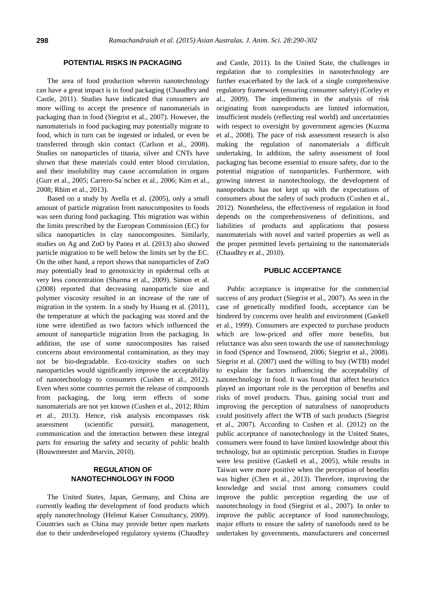### **POTENTIAL RISKS IN PACKAGING**

The area of food production wherein nanotechnology can have a great impact is in food packaging (Chaudhry and Castle, 2011). Studies have indicated that consumers are more willing to accept the presence of nanomaterials in packaging than in food (Siegrist et al., 2007). However, the nanomaterials in food packaging may potentially migrate to food, which in turn can be ingested or inhaled, or even be transferred through skin contact (Carlson et al., 2008). Studies on nanoparticles of titania, silver and CNTs have shown that these materials could enter blood circulation, and their insolubility may cause accumulation in organs (Gurr et al., 2005; Carrero-Sa´nchez et al., 2006; Kim et al., 2008; Rhim et al., 2013).

Based on a study by Avella et al. (2005), only a small amount of particle migration from nanocomposites to foods was seen during food packaging. This migration was within the limits prescribed by the European Commission (EC) for silica nanoparticles in clay nanocomposites. Similarly, studies on Ag and ZnO by Panea et al. (2013) also showed particle migration to be well below the limits set by the EC. On the other hand, a report shows that nanoparticles of ZnO may potentially lead to genotoxicity in epidermal cells at very less concentration (Sharma et al., 2009). Simon et al. (2008) reported that decreasing nanoparticle size and polymer viscosity resulted in an increase of the rate of migration in the system. In a study by Huang et al. (2011), the temperature at which the packaging was stored and the time were identified as two factors which influenced the amount of nanoparticle migration from the packaging. In addition, the use of some nanocomposites has raised concerns about environmental contamination, as they may not be bio-degradable. Eco-toxicity studies on such nanoparticles would significantly improve the acceptability of nanotechnology to consumers (Cushen et al., 2012). Even when some countries permit the release of compounds from packaging, the long term effects of some nanomaterials are not yet known (Cushen et al., 2012; Rhim et al., 2013). Hence, risk analysis encompasses risk assessment (scientific pursuit), management, communication and the interaction between these integral parts for ensuring the safety and security of public health (Bouwmeester and Marvin, 2010).

# **REGULATION OF NANOTECHNOLOGY IN FOOD**

The United States, Japan, Germany, and China are currently leading the development of food products which apply nanotechnology (Helmut Kaiser Consultancy, 2009). Countries such as China may provide better open markets due to their underdeveloped regulatory systems (Chaudhry

and Castle, 2011). In the United State, the challenges in regulation due to complexities in nanotechnology are further exacerbated by the lack of a single comprehensive regulatory framework (ensuring consumer safety) (Corley et al., 2009). The impediments in the analysis of risk originating from nanoproducts are limited information, insufficient models (reflecting real world) and uncertainties with respect to oversight by government agencies (Kuzma et al., 2008). The pace of risk assessment research is also making the regulation of nanomaterials a difficult undertaking. In addition, the safety assessment of food packaging has become essential to ensure safety, due to the potential migration of nanoparticles. Furthermore, with growing interest in nanotechnology, the development of nanoproducts has not kept up with the expectations of consumers about the safety of such products (Cushen et al., 2012). Nonetheless, the effectiveness of regulation in food depends on the comprehensiveness of definitions, and liabilities of products and applications that possess nanomaterials with novel and varied properties as well as the proper permitted levels pertaining to the nanomaterials (Chaudhry et al., 2010).

### **PUBLIC ACCEPTANCE**

Public acceptance is imperative for the commercial success of any product (Siegrist et al., 2007). As seen in the case of genetically modified foods, acceptance can be hindered by concerns over health and environment (Gaskell et al., 1999). Consumers are expected to purchase products which are low-priced and offer more benefits, but reluctance was also seen towards the use of nanotechnology in food (Spence and Townsend, 2006; Siegrist et al., 2008). Siegrist et al. (2007) used the willing to buy (WTB) model to explain the factors influencing the acceptability of nanotechnology in food. It was found that affect heuristics played an important role in the perception of benefits and risks of novel products. Thus, gaining social trust and improving the perception of naturalness of nanoproducts could positively affect the WTB of such products (Siegrist et al., 2007). According to Cushen et al. (2012) on the public acceptance of nanotechnology in the United States, consumers were found to have limited knowledge about this technology, but an optimistic perception. Studies in Europe were less positive (Gaskell et al., 2005), while results in Taiwan were more positive when the perception of benefits was higher (Chen et al., 2013). Therefore, improving the knowledge and social trust among consumers could improve the public perception regarding the use of nanotechnology in food (Siegrist et al., 2007). In order to improve the public acceptance of food nanotechnology, major efforts to ensure the safety of nanofoods need to be undertaken by governments, manufacturers and concerned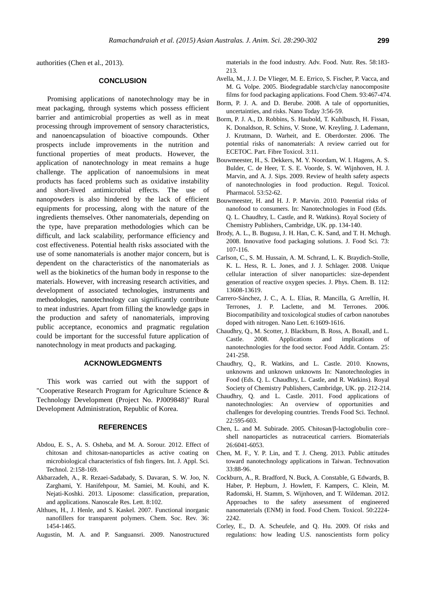authorities (Chen et al., 2013).

## **CONCLUSION**

Promising applications of nanotechnology may be in meat packaging, through systems which possess efficient barrier and antimicrobial properties as well as in meat processing through improvement of sensory characteristics, and nanoencapsulation of bioactive compounds. Other prospects include improvements in the nutrition and functional properties of meat products. However, the application of nanotechnology in meat remains a huge challenge. The application of nanoemulsions in meat products has faced problems such as oxidative instability and short-lived antimicrobial effects. The use of nanopowders is also hindered by the lack of efficient equipments for processing, along with the nature of the ingredients themselves. Other nanomaterials, depending on the type, have preparation methodologies which can be difficult, and lack scalability, performance efficiency and cost effectiveness. Potential health risks associated with the use of some nanomaterials is another major concern, but is dependent on the characteristics of the nanomaterials as well as the biokinetics of the human body in response to the materials. However, with increasing research activities, and development of associated technologies, instruments and methodologies, nanotechnology can significantly contribute to meat industries. Apart from filling the knowledge gaps in the production and safety of nanomaterials, improving public acceptance, economics and pragmatic regulation could be important for the successful future application of nanotechnology in meat products and packaging.

# **ACKNOWLEDGMENTS**

This work was carried out with the support of "Cooperative Research Program for Agriculture Science & Technology Development (Project No. PJ009848)" Rural Development Administration, Republic of Korea.

### **REFERENCES**

- Abdou, E. S., A. S. Osheba, and M. A. Sorour. 2012. Effect of chitosan and chitosan-nanoparticles as active coating on microbiological characteristics of fish fingers. Int. J. Appl. Sci. Technol. 2:158-169.
- Akbarzadeh, A., R. Rezaei-Sadabady, S. Davaran, S. W. Joo, N. Zarghami, Y. Hanifehpour, M. Samiei, M. Kouhi, and K. Nejati-Koshki. 2013. [Liposome: classification, preparation,](http://www.biomedcentral.com/content/pdf/1556-276X-8-102.pdf)  [and applications.](http://www.biomedcentral.com/content/pdf/1556-276X-8-102.pdf) Nanoscale Res. Lett. 8:102.
- Althues, H., J. Henle, and S. Kaskel. 2007. [Functional inorganic](http://pubs.rsc.org/en/content/articlelanding/2007/cs/b608177k#!divAbstract)  [nanofillers for transparent polymers.](http://pubs.rsc.org/en/content/articlelanding/2007/cs/b608177k#!divAbstract) Chem. Soc. Rev. 36: 1454-1465.
- Augustin, M. A. and P. Sanguansri. 2009. Nanostructured

materials in the food industry. Adv. Food. Nutr. Res. 58:183- 213.

- Avella, M., J. J. De Vlieger, M. E. Errico, S. Fischer, P. Vacca, and M. G. Volpe. 2005. [Biodegradable starch/clay nanocomposite](http://www.sciencedirect.com/science/article/pii/S0308814604007654)  [films for food packaging applications.](http://www.sciencedirect.com/science/article/pii/S0308814604007654) Food Chem. 93:467-474.
- Borm, P. J. A. and D. Berube. 2008. A tale of opportunities, uncertainties, and risks. Nano Today 3:56-59.
- Borm, P. J. A., D. Robbins, S. Haubold, T. Kuhlbusch, H. Fissan, K. Donaldson, R. Schins, V. Stone, W. Kreyling, J. Lademann, J. Krutmann, D. Warheit, and E. Oberdorster. 2006. [The](http://www.particleandfibretoxicology.com/content/3/1/11)  [potential risks of nanomaterials: A](http://www.particleandfibretoxicology.com/content/3/1/11) review carried out for [ECETOC.](http://www.particleandfibretoxicology.com/content/3/1/11) Part. Fibre Toxicol. 3:11.
- Bouwmeester, H., S. Dekkers, M. Y. Noordam, W. I. Hagens, A. S. Bulder, C. de Heer, T. S. E. Voorde, S. W. Wijnhoven, H. J. Marvin, and A. J. Sips. 2009. [Review of health safety aspects](http://www.sciencedirect.com/science/article/pii/S0273230008002468)  [of nanotechnologies in food production.](http://www.sciencedirect.com/science/article/pii/S0273230008002468) Regul. Toxicol. Pharmacol. 53:52-62.
- Bouwmeester, H. and H. J. P. Marvin. 2010. Potential risks of nanofood to consumers. In: Nanotechnologies in Food (Eds. Q. L. Chaudhry, L. Castle, and R. Watkins). Royal Society of Chemistry Publishers, Cambridge, UK. pp. 134-140.
- Brody, A. L., B. Bugusu, J. H. Han, C. K. Sand, and T. H. Mchugh. 2008. [Innovative food packaging solutions.](http://www.ift.org/~/media/Knowledge%20Center/Science%20Reports/Scientific%20Status%20Summaries/InnovFoodPkg_1008.pdf) J. Food Sci. 73: 107-116.
- Carlson, C., S. M. Hussain, A. M. Schrand, L. K. Braydich-Stolle, K. L. Hess, R. L. Jones, and J. J. Schlager. 2008. [Unique](http://pubs.acs.org/doi/abs/10.1021/jp712087m)  [cellular interaction of silver nanoparticles: size-dependent](http://pubs.acs.org/doi/abs/10.1021/jp712087m)  [generation of reactive oxygen species.](http://pubs.acs.org/doi/abs/10.1021/jp712087m) J. Phys. Chem. B. 112: 13608-13619.
- Carrero-Sánchez, J. C., A. L. Elías, R. Mancilla, G. Arrellín, H. Terrones, J. P. Laclette, and M. Terrones. 2006. [Biocompatibility and toxicological studies of carbon nanotubes](http://pubs.acs.org/doi/abs/10.1021/nl060548p)  [doped with nitrogen.](http://pubs.acs.org/doi/abs/10.1021/nl060548p) Nano Lett. 6:1609-1616.
- Chaudhry, Q., M. Scotter, J. Blackburn, B. Ross, A. Boxall, and L. Castle. 2008. [Applications](http://www.tandfonline.com/doi/abs/10.1080/02652030701744538#.VIUn0DGsWqE) and implications of nanotechnologies [for the food sector.](http://www.tandfonline.com/doi/abs/10.1080/02652030701744538#.VIUn0DGsWqE) Food Addit. Contam. 25: 241-258.
- Chaudhry, Q., R. Watkins, and L. Castle. 2010. Knowns, unknowns and unknown unknowns In: Nanotechnologies in Food (Eds. Q. L. Chaudhry, L. Castle, and R. Watkins). Royal Society of Chemistry Publishers, Cambridge, UK. pp. 212-214.
- Chaudhry, Q. and L. Castle. 2011. [Food applications of](http://www.sciencedirect.com/science/article/pii/S0924224411000021)  [nanotechnologies: An overview of opportunities and](http://www.sciencedirect.com/science/article/pii/S0924224411000021)  [challenges for developing countries.](http://www.sciencedirect.com/science/article/pii/S0924224411000021) Trends Food Sci. Technol. 22:595-603.
- Chen, L. and M. Subirade. 2005. [Chitosan/β-lactoglobulin core–](http://www.sciencedirect.com/science/article/pii/S0142961205002292) [shell nanoparticles as nutraceutical carriers.](http://www.sciencedirect.com/science/article/pii/S0142961205002292) Biomaterials 26:6041-6053.
- Chen, M. F., Y. P. Lin, and T. J. Cheng. 2013. [Public attitudes](http://www.sciencedirect.com/science/article/pii/S0166497212001423)  [toward nanotechnology applications in Taiwan.](http://www.sciencedirect.com/science/article/pii/S0166497212001423) Technovation 33:88-96.
- Cockburn, A., R. Bradford, N. Buck, A. Constable, G. Edwards, B. Haber, P. Hepburn, J. Howlett, F. Kampers, C. Klein, M. Radomski, H. Stamm, S. Wijnhoven, and T. Wildeman. 2012. [Approaches to the safety assessment of engineered](http://www.sciencedirect.com/science/article/pii/S0278691511006958)  [nanomaterials \(ENM\) in food.](http://www.sciencedirect.com/science/article/pii/S0278691511006958) Food Chem. Toxicol. 50:2224- 2242.
- Corley, E., D. A. Scheufele, and Q. Hu. 2009. Of risks and regulations: how leading U.S. nanoscientists form policy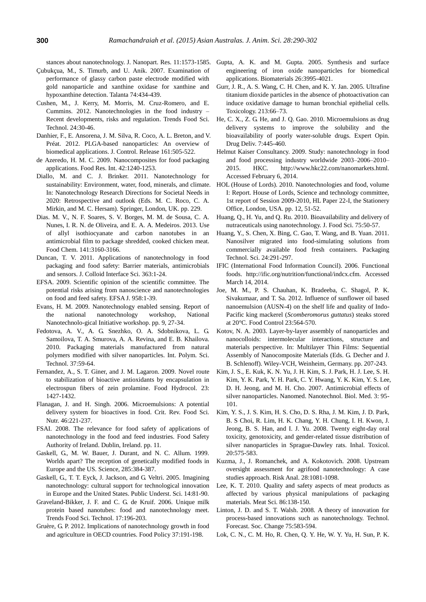stances about nanotechnology. J. Nanopart. Res. 11:1573-1585.

- Ç ubukçua, M., S. Timurb, and U. Anik. 2007. [Examination of](http://www.sciencedirect.com/science/article/pii/S0039914007005383)  [performance of glassy carbon paste electrode modified with](http://www.sciencedirect.com/science/article/pii/S0039914007005383)  [gold nanoparticle and xanthine oxidase for xanthine and](http://www.sciencedirect.com/science/article/pii/S0039914007005383)  [hypoxanthine detection.](http://www.sciencedirect.com/science/article/pii/S0039914007005383) Talanta 74:434-439.
- Cushen, M., J. Kerry, M. Morris, M. Cruz-Romero, and E. Cummins. 2012. [Nanotechnologies in the food industry –](http://www.sciencedirect.com/science/article/pii/S0924224411002378) [Recent developments, risks and regulation.](http://www.sciencedirect.com/science/article/pii/S0924224411002378) Trends Food Sci. Technol. 24:30-46.
- Danhier, F., E. Ansorena, J. M. Silva, R. Coco, A. L. Breton, and V. Préat. 2012. [PLGA-based nanoparticles: An overview of](http://www.sciencedirect.com/science/article/pii/S0168365912000752)  [biomedical applications.](http://www.sciencedirect.com/science/article/pii/S0168365912000752) J. Control. Release 161:505-522.
- de Azeredo, H. M. C. 2009. [Nanocomposites for food packaging](http://www.sciencedirect.com/science/article/pii/S096399690900091X)  [applications.](http://www.sciencedirect.com/science/article/pii/S096399690900091X) Food Res. Int. 42:1240-1253.
- Diallo, M. and C. J. Brinker. 2011. Nanotechnology for sustainability: Environment, water, food, minerals, and climate. In: Nanotechnology Research Directions for Societal Needs in 2020: Retrospective [and outlook](http://link.springer.com/book/10.1007/978-94-007-1168-6) (Eds. M. C. Roco, C. A. Mirkin, and M. C. Hersam). Springer, London, UK. pp. 229.
- Dias. M. V., N. F. Soares, S. V. Borges, M. M. de Sousa, C. A. Nunes, I. R. N. de Oliveira, and E. A. A. Medeiros. 2013[. Use](http://www.sciencedirect.com/science/article/pii/S0308814613007565)  [of allyl isothiocyanate and carbon nanotubes in an](http://www.sciencedirect.com/science/article/pii/S0308814613007565)  [antimicrobial film to package shredded, cooked chicken meat.](http://www.sciencedirect.com/science/article/pii/S0308814613007565)  Food Chem. 141:3160-3166.
- Duncan, T. V. 2011. [Applications of nanotechnology in food](http://www.sciencedirect.com/science/article/pii/S0021979711008642)  [packaging and food safety: Barrier materials, antimicrobials](http://www.sciencedirect.com/science/article/pii/S0021979711008642)  [and sensors.](http://www.sciencedirect.com/science/article/pii/S0021979711008642) J. Colloid Interface Sci. 363:1-24.
- EFSA. 2009. Scientific opinion of the scientific committee. The potential risks arising from nanoscience and nanotechnologies on food and feed safety. EFSA J. 958:1-39.
- Evans, H. M. 2009. Nanotechnology enabled sensing. Report of the national nanotechnology workshop, National Nanotechnolo-gical Initiative workshop. pp. 9, 27-34.
- Fedotova, A. V., A. G. Snezhko, O. A. Sdobnikova, L. G. Samoilova, T. A. Smurova, A. A. Revina, and E. B. Khailova. 2010. Packaging materials manufactured from natural polymers modified with silver nanoparticles. Int. Polym. Sci. Technol. 37:59-64.
- Fernandez, A., S. T. Giner, and J. M. Lagaron. 2009. [Novel route](http://www.sciencedirect.com/science/article/pii/S0268005X08002579)  [to stabilization of bioactive antioxidants by encapsulation in](http://www.sciencedirect.com/science/article/pii/S0268005X08002579)  [electrospun fibers of zein prolamine.](http://www.sciencedirect.com/science/article/pii/S0268005X08002579) Food Hydrocol. 23: 1427-1432.
- Flanagan, J. and H. Singh. 2006. [Microemulsions: A potential](http://www.tandfonline.com/doi/abs/10.1080/10408690590956710#.VHbJYzGsWqE)  [delivery system for bioactives in food.](http://www.tandfonline.com/doi/abs/10.1080/10408690590956710#.VHbJYzGsWqE) Crit. Rev. Food Sci. Nutr. 46:221-237.
- FSAI. 2008. [The relevance for food safety of applications of](../AppData/Local/Microsoft/Windows/Temporary%20Internet%20Files/Content.IE5/AppData/Local/Microsoft/Windows/Temporary%20Internet%20Files/Content.IE5/AppData/Local/Microsoft/Windows/Temporary%20Internet%20Files/Content.IE5/AppData/Local/Microsoft/Windows/Temporary%20Internet%20Files/Content.IE5/user/Downloads/Nanotechnology_report.pdf)  [nanotechnology in the food and feed industries.](../AppData/Local/Microsoft/Windows/Temporary%20Internet%20Files/Content.IE5/AppData/Local/Microsoft/Windows/Temporary%20Internet%20Files/Content.IE5/AppData/Local/Microsoft/Windows/Temporary%20Internet%20Files/Content.IE5/AppData/Local/Microsoft/Windows/Temporary%20Internet%20Files/Content.IE5/user/Downloads/Nanotechnology_report.pdf) Food Safety Authority of Ireland. Dublin, Ireland. pp. 11.
- Gaskell, G., M. W. Bauer, J. Durant, and N. C. Allum. 1999. [Worlds apart? The reception of genetically modified foods in](http://www.sciencemag.org/content/285/5426/384.short)  [Europe and the US.](http://www.sciencemag.org/content/285/5426/384.short) Science, 285:384-387.
- Gaskell, G., T. T. Eyck, J. Jackson, and G. Veltri. 2005. [Imagining](http://pus.sagepub.com/content/14/1/81.short)  [nanotechnology: cultural support for technological innovation](http://pus.sagepub.com/content/14/1/81.short)  [in Europe and the United States.](http://pus.sagepub.com/content/14/1/81.short) Public Underst. Sci. 14:81-90.
- Graveland-Bikker, J. F. and C. G. de Kruif. 2006. [Unique milk](http://www.sciencedirect.com/science/article/pii/S0924224405003547)  [protein based nanotubes: food and nanotechnology meet.](http://www.sciencedirect.com/science/article/pii/S0924224405003547)  Trends Food Sci. Technol. 17:196-203.
- Gruère, G. P. 2012. [Implications of nanotechnology growth in food](http://www.sciencedirect.com/science/article/pii/S0306919212000024)  [and agriculture in OECD countries.](http://www.sciencedirect.com/science/article/pii/S0306919212000024) Food Policy 37:191-198.
- Gupta, A. K. and M. Gupta. 2005. [Synthesis and surface](http://www.sciencedirect.com/science/article/pii/S0142961204009317)  [engineering of iron oxide nanoparticles for biomedical](http://www.sciencedirect.com/science/article/pii/S0142961204009317)  [applications.](http://www.sciencedirect.com/science/article/pii/S0142961204009317) Biomaterials 26:3995-4021.
- Gurr, J. R., A. S. Wang, C. H. Chen, and K. Y. Jan. 2005. [Ultrafine](http://www.sciencedirect.com/science/article/pii/S0300483X05002271)  [titanium dioxide particles in the absence of photoactivation can](http://www.sciencedirect.com/science/article/pii/S0300483X05002271)  [induce oxidative damage to human bronchial epithelial](http://www.sciencedirect.com/science/article/pii/S0300483X05002271) cells. Toxicology. 213:66–73.
- He, C. X., Z. G. He, and J. Q. Gao. 2010[. Microemulsions as drug](http://informahealthcare.com/doi/abs/10.1517/17425241003596337)  [delivery systems to improve the solubility and the](http://informahealthcare.com/doi/abs/10.1517/17425241003596337)  [bioavailability of poorly water-soluble drugs.](http://informahealthcare.com/doi/abs/10.1517/17425241003596337) Expert Opin. Drug Deliv. 7:445-460.
- Helmut Kaiser Consultancy. 2009. Study: nanotechnology in food and food processing industry worldwide 2003–2006–2010– 2015. HKC. http://www.hkc22.com/nanomarkets.html. Accessed February 6, 2014.
- HOL (House of Lords). 2010. Nanotechnologies and food, volume I: Report. House of Lords, Science and technology committee, 1st report of Session 2009-2010, HL Paper 22-I, the Stationery Office, London, USA. pp. 12, 51-52.
- Huang, Q., H. Yu, and Q. Ru. 2010. [Bioavailability and delivery of](http://onlinelibrary.wiley.com/doi/10.1111/j.1750-3841.2009.01457.x/full)  [nutraceuticals using nanotechnology.](http://onlinelibrary.wiley.com/doi/10.1111/j.1750-3841.2009.01457.x/full) J. Food Sci. 75:50-57.
- Huang, Y., S. Chen, X. Bing, C. Gao, T. Wang, and B. Yuan. 2011. [Nanosilver migrated into food-simulating solutions from](http://onlinelibrary.wiley.com/doi/10.1002/pts.938/abstract;jsessionid=E83002DA2C6300A49263C82B216720AA.f04t02?deniedAccessCustomisedMessage=&userIsAuthenticated=false)  [commercially available food fresh containers.](http://onlinelibrary.wiley.com/doi/10.1002/pts.938/abstract;jsessionid=E83002DA2C6300A49263C82B216720AA.f04t02?deniedAccessCustomisedMessage=&userIsAuthenticated=false) Packaging Technol. Sci. 24:291-297.
- IFIC (International Food Information Council). 2006. Functional foods. http://ific.org/nutrition/functional/indcx.cfm. Accessed March 14, 2014.
- Joe, M. M., P. S. Chauhan, K. Bradeeba, C. Shagol, P. K. Sivakumaar, and T. Sa. 2012. [Influence of sunflower oil based](http://www.sciencedirect.com/science/article/pii/S0956713511003537)  [nanoemulsion \(AUSN-4\) on the shelf life and quality of Indo-](http://www.sciencedirect.com/science/article/pii/S0956713511003537)Pacific king mackerel (*[Scomberomorus guttatus](http://www.sciencedirect.com/science/article/pii/S0956713511003537)*) steaks stored at [20°C.](http://www.sciencedirect.com/science/article/pii/S0956713511003537) Food Control 23:564-570.
- Kotov, N. A. 2003. Layer-by-layer assembly of nanoparticles and nanocolloids: intermolecular interactions, structure and materials perspective. In: Multilayer Thin Films: Sequential Assembly of Nanocomposite Materials (Eds. G. Decher and J. B. Schlenoff). Wiley-VCH, Weinheim, Germany. pp. 207-243.
- Kim, J. S., E. Kuk, K. N. Yu, J. H. Kim, S. J. Park, H. J. Lee, S. H. Kim, Y. K. Park, Y. H. Park, C. Y. Hwang, Y. K. Kim, Y. S. Lee, D. H. Jeong, and M. H. Cho. 2007. [Antimicrobial effects of](http://www.sciencedirect.com/science/article/pii/S1549963406003467)  [silver nanoparticles.](http://www.sciencedirect.com/science/article/pii/S1549963406003467) Nanomed. Nanotechnol. Biol. Med. 3: 95- 101.
- Kim, Y. S., J. S. Kim, H. S. Cho, D. S. Rha, J. M. Kim, J. D. Park, B. S Choi, R. Lim, H. K. Chang, Y. H. Chung, I. H. Kwon, J. Jeong, B. S. Han, and I. J. Yu. 2008. [Twenty eight-day oral](http://informahealthcare.com/doi/abs/10.1080/08958370701874663)  [toxicity, genotoxicity, and gender-related tissue distribution of](http://informahealthcare.com/doi/abs/10.1080/08958370701874663)  [silver nanoparticles in](http://informahealthcare.com/doi/abs/10.1080/08958370701874663) Sprague-Dawley rats. Inhal. Toxicol. 20:575-583.
- Kuzma, J., J. Romanchek, and A. Kokotovich. 2008. [Upstream](http://onlinelibrary.wiley.com/doi/10.1111/j.1539-6924.2008.01071.x/abstract?deniedAccessCustomisedMessage=&userIsAuthenticated=false)  [oversight assessment for agrifood nanotechnology: A](http://onlinelibrary.wiley.com/doi/10.1111/j.1539-6924.2008.01071.x/abstract?deniedAccessCustomisedMessage=&userIsAuthenticated=false) case [studies approach.](http://onlinelibrary.wiley.com/doi/10.1111/j.1539-6924.2008.01071.x/abstract?deniedAccessCustomisedMessage=&userIsAuthenticated=false) Risk Anal. 28:1081-1098.
- Lee, K. T. 2010. [Quality and safety aspects of meat products as](http://www.sciencedirect.com/science/article/pii/S0309174010001671)  [affected by various physical manipulations of packaging](http://www.sciencedirect.com/science/article/pii/S0309174010001671)  [materials.](http://www.sciencedirect.com/science/article/pii/S0309174010001671) Meat Sci. 86:138-150.
- Linton, J. D. and S. T. Walsh. 2008. A theory of innovation for process-based innovations such as nanotechnology. Technol. Forecast. Soc. Change 75:583-594.
- Lok, C. N., C. M. Ho, R. Chen, Q. Y. He, W. Y. Yu, H. Sun, P. K.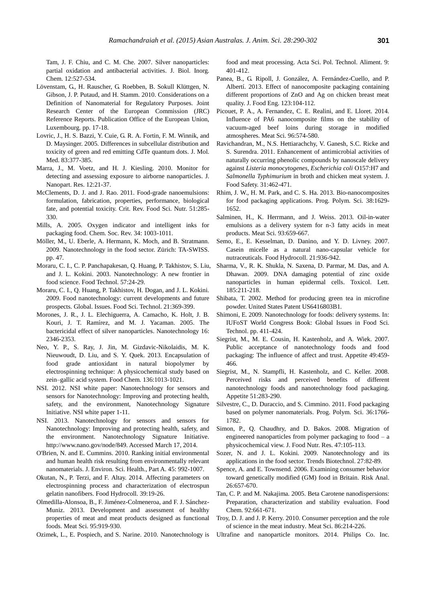Tam, J. F. Chiu, and C. M. Che. 2007. [Silver nanoparticles:](http://link.springer.com/article/10.1007/s00775-007-0208-z)  [partial oxidation and antibacterial activities.](http://link.springer.com/article/10.1007/s00775-007-0208-z) J. Biol. Inorg. Chem. 12:527-534.

- Lövenstam, G., H. Rauscher, G. Roebben, B. Sokull Klüttgen, N. Gibson, J. P. Putaud, and H. Stamm. 2010. Considerations on a Definition of Nanomaterial for Regulatory Purposes. Joint Research Center of the European Commission (JRC) Reference Reports. Publication Office of the European Union, Luxembourg. pp. 17-18.
- Lovric, J., H. S. Bazzi, Y. Cuie, G. R. A. Fortin, F. M. Winnik, and D. Maysinger. 2005[. Differences in subcellular distribution and](http://link.springer.com/article/10.1007/s00109-004-0629-x)  [toxicity of green and red emitting CdTe quantum dots.](http://link.springer.com/article/10.1007/s00109-004-0629-x) J. Mol. Med. 83:377-385.
- Marra, J., M. Voetz, and H. J. Kiesling. 2010. [Monitor for](http://link.springer.com/article/10.1007/s11051-009-9695-x)  [detecting and assessing exposure to airborne nanoparticles.](http://link.springer.com/article/10.1007/s11051-009-9695-x) J. Nanopart. Res. 12:21-37.
- McClements, D. J. and J. Rao. 2011. [Food-grade nanoemulsions:](http://www.tandfonline.com/doi/abs/10.1080/10408398.2011.559558#.VHbNVjGsWqE)  [formulation, fabrication, properties, performance, biological](http://www.tandfonline.com/doi/abs/10.1080/10408398.2011.559558#.VHbNVjGsWqE)  [fate, and potential toxicity.](http://www.tandfonline.com/doi/abs/10.1080/10408398.2011.559558#.VHbNVjGsWqE) Crit. Rev. Food Sci. Nutr. 51:285- 330.
- Mills, A. 2005. [Oxygen indicator and intelligent inks for](http://pubs.rsc.org/en/content/articlelanding/2005/cs/b503997p#!divAbstract)  [packaging food.](http://pubs.rsc.org/en/content/articlelanding/2005/cs/b503997p#!divAbstract) Chem. Soc. Rev. 34: 1003-1011.
- Möller, M., U. Eberle, A. Hermann, K. Moch, and B. Stratmann. 2009. Nanotechnology in the food sector. Zürich: TA-SWISS. pp. 47.
- Moraru, C. I., C. P. Panchapakesan, Q. Huang, P. Takhistov, S. Liu, and J. L. Kokini. 2003. [Nanotechnology: A](http://vivo.cornell.edu/display/AI-24276031489) new frontier in [food science.](http://vivo.cornell.edu/display/AI-24276031489) Food Technol. 57:24-29.
- Moraru, C. I., Q. Huang, P. Takhistov, H. Dogan, and J. L. Kokini. 2009. Food nanotechnology: current developments and future prospects. Global. Issues. Food Sci. Technol. 21:369-399.
- Morones, J. R., J. L. Elechiguerra, A. Camacho, K. Holt, J. B. Kouri, J. T. Ramírez, and M. J. Yacaman. 2005. [The](http://www.ncbi.nlm.nih.gov/pubmed/20818017)  [bactericidal effect of silver nanoparticles.](http://www.ncbi.nlm.nih.gov/pubmed/20818017) Nanotechnology 16: 2346-2353.
- Neo, Y. P., S. Ray, J. Jin, M. Gizdavic-Nikolaidis, M. K. Nieuwoudt, D. Liu, and S. Y. Quek. 2013. [Encapsulation of](http://www.sciencedirect.com/science/article/pii/S0308814612014082)  [food grade antioxidant in natural biopolymer by](http://www.sciencedirect.com/science/article/pii/S0308814612014082)  [electrospinning technique: A physicochemical study based on](http://www.sciencedirect.com/science/article/pii/S0308814612014082)  [zein–gallic acid system.](http://www.sciencedirect.com/science/article/pii/S0308814612014082) Food Chem. 136:1013-1021.
- NSI. 2012. NSI white paper: Nanotechnology for sensors and sensors for Nanotechnology: Improving and protecting health, safety, and the environment, Nanotechnology Signature Initiative. NSI white paper 1-11.
- NSI. 2013. Nanotechnology for sensors and sensors for Nanotechnology: Improving and protecting health, safety, and the environment. Nanotechnology Signature Initiative. http://www.nano.gov/node/849. Accessed March 17, 2014.
- O'Brien, N. and E. Cummins. 2010. [Ranking initial environmental](http://www.tandfonline.com/doi/abs/10.1080/10934521003772410#.VIUsfjGsWqE])  [and human health risk resulting from environmentally relevant](http://www.tandfonline.com/doi/abs/10.1080/10934521003772410#.VIUsfjGsWqE])  [nanomaterials.](http://www.tandfonline.com/doi/abs/10.1080/10934521003772410#.VIUsfjGsWqE]) J. Environ. Sci. Health., Part A. 45: 992-1007.
- Okutan, N., P. Terzi, and F. Altay. 2014. [Affecting parameters on](http://www.sciencedirect.com/science/article/pii/S0268005X13004062)  [electrospinning process and characterization of electrospun](http://www.sciencedirect.com/science/article/pii/S0268005X13004062)  [gelatin nanofibers.](http://www.sciencedirect.com/science/article/pii/S0268005X13004062) Food Hydrocoll. 39:19-26.
- Olmedilla-Alonsoa, B., F. Jiménez-Colmeneroa, and F. J. Sánchez-Muniz. 2013. [Development and assessment of healthy](http://www.sciencedirect.com/science/article/pii/S0309174013001083)  [properties of meat and meat products](http://www.sciencedirect.com/science/article/pii/S0309174013001083) designed as functional [foods.](http://www.sciencedirect.com/science/article/pii/S0309174013001083) Meat Sci. 95:919-930.
- Ozimek, L., E. Pospiech, and S. Narine. 2010. [Nanotechnology is](http://www.food.actapol.net/pub/1_4_2010.pdf)

[food and meat processing.](http://www.food.actapol.net/pub/1_4_2010.pdf) Acta Sci. Pol. Technol. Aliment. 9: 401-412.

- Panea, B., G. Ripoll, J. González, A. Fernández-Cuello, and P. Albertí. 2013. [Effect of nanocomposite packaging containing](http://www.sciencedirect.com/science/article/pii/S0260877413004998)  [different proportions of ZnO and Ag on chicken breast meat](http://www.sciencedirect.com/science/article/pii/S0260877413004998)  [quality.](http://www.sciencedirect.com/science/article/pii/S0260877413004998) J. Food Eng. 123:104-112.
- Picouet, P. A., A. Fernandez, C. E. Realini, and E. Lloret. 2014. [Influence of PA6 nanocomposite films on the stability of](http://www.sciencedirect.com/science/article/pii/S0309174013003471)  [vacuum-aged beef loins during storage in modified](http://www.sciencedirect.com/science/article/pii/S0309174013003471)  [atmospheres.](http://www.sciencedirect.com/science/article/pii/S0309174013003471) Meat Sci. 96:574-580.
- Ravichandran, M., N.S. Hettiarachchy, V. Ganesh, S.C. Ricke and S. Surendra. 2011. Enhancement of antimicrobial activities of naturally occurring phenolic compounds by nanoscale delivery against *Listeria monocytogenes*, *Escherichia coli* O157:H7 and *Salmonella Typhimurium* in broth and chicken meat system. J. Food Safety. 31:462-471.
- Rhim, J. W., H. M. Park, and C. S. Ha. 2013. [Bio-nanocomposites](http://www.sciencedirect.com/science/article/pii/S007967001300049X)  [for food packaging applications.](http://www.sciencedirect.com/science/article/pii/S007967001300049X) Prog. Polym. Sci. 38:1629- 1652.
- Salminen, H., K. Herrmann, and J. Weiss. 2013. [Oil-in-water](http://www.sciencedirect.com/science/article/pii/S0309174012003968)  [emulsions as a delivery system for n-3 fatty acids in meat](http://www.sciencedirect.com/science/article/pii/S0309174012003968)  [products.](http://www.sciencedirect.com/science/article/pii/S0309174012003968) Meat Sci. 93:659-667.
- Semo, E., E. Kesselman, D. Danino, and Y. D. Livney. 2007. Casein micelle as a natural nano-capsular vehicle for nutraceuticals. Food Hydrocoll. 21:936-942.
- Sharma, V., R. K. Shukla, N. Saxena, D. Parmar, M. Das, and A. Dhawan. 2009. [DNA damaging potential of zinc oxide](http://www.sciencedirect.com/science/article/pii/S037842740900023X)  [nanoparticles in human epidermal cells.](http://www.sciencedirect.com/science/article/pii/S037842740900023X) Toxicol. Lett. 185:211-218.
- Shibata, T. 2002. Method for producing green tea in microfine powder. United States Patent US6416803B1.
- Shimoni, E. 2009. Nanotechnology for foods: delivery systems. In: IUFoST World Congress Book: Global Issues in Food Sci. Technol. pp. 411-424.
- Siegrist, M., M. E. Cousin, H. Kastenholz, and A. Wiek. 2007. Public acceptance of nanotechnology foods and food packaging: The influence of affect and trust. Appetite 49:459- 466.
- Siegrist, M., N. Stampfli, H. Kastenholz, and C. Keller. 2008. Perceived risks and [perceived benefits of different](http://www.sciencedirect.com/science/article/pii/S0195666308000998)  [nanotechnology foods and nanotechnology food packaging.](http://www.sciencedirect.com/science/article/pii/S0195666308000998) Appetite 51:283-290.
- Silvestre, C., D. Duraccio, and S. Cimmino. 2011[. Food packaging](http://www.sciencedirect.com/science/article/pii/S0079670011000311)  [based on polymer nanomaterials.](http://www.sciencedirect.com/science/article/pii/S0079670011000311) Prog. Polym. Sci. 36:1766- 1782.
- Simon, P., Q. Chaudhry, and D. Bakos. 2008. Migration of engineered nanoparticles from polymer packaging to food – a physicochemical view. J. Food Nutr. Res. 47:105-113.
- Sozer, N. and J. L. Kokini. 2009. [Nanotechnology and its](http://www.sciencedirect.com/science/article/pii/S0167779908002916)  [applications in the food sector.](http://www.sciencedirect.com/science/article/pii/S0167779908002916) Trends Biotechnol. 27:82-89.
- Spence, A. and E. Townsend. 2006[. Examining consumer behavior](http://onlinelibrary.wiley.com/doi/10.1111/j.1539-6924.2006.00777.x/abstract?deniedAccessCustomisedMessage=&userIsAuthenticated=false)  [toward genetically modified \(GM\) food in Britain.](http://onlinelibrary.wiley.com/doi/10.1111/j.1539-6924.2006.00777.x/abstract?deniedAccessCustomisedMessage=&userIsAuthenticated=false) Risk Anal. 26:657-670.
- Tan, C. P. and M. Nakajima. 2005. [Beta Carotene nanodispersions:](http://www.sciencedirect.com/science/article/pii/S0308814604006727)  [Preparation, characterization and stability evaluation.](http://www.sciencedirect.com/science/article/pii/S0308814604006727) Food Chem. 92:661-671.
- Troy, D. J. and J. P. Kerry. 2010. [Consumer perception and the role](http://www.sciencedirect.com/science/article/pii/S0309174010001865)  [of science in the meat industry](http://www.sciencedirect.com/science/article/pii/S0309174010001865)*.* Meat Sci. 86:214-226.
- Ultrafine and nanoparticle monitors. 2014. Philips Co. Inc.